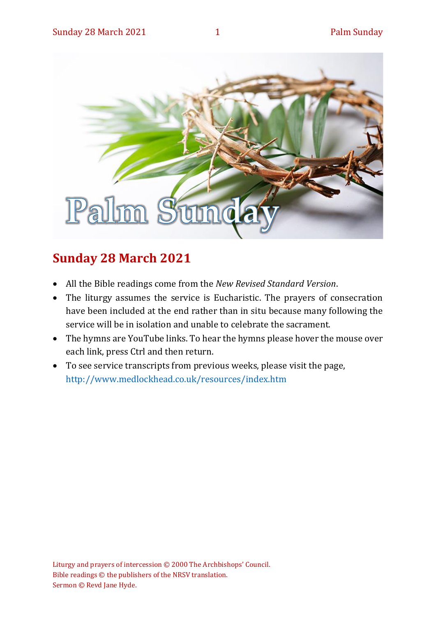

## **Sunday 28 March 2021**

- All the Bible readings come from the *New Revised Standard Version*.
- The liturgy assumes the service is Eucharistic. The prayers of consecration have been included at the end rather than in situ because many following the service will be in isolation and unable to celebrate the sacrament.
- The hymns are YouTube links. To hear the hymns please hover the mouse over each link, press Ctrl and then return.
- To see service transcripts from previous weeks, please visit the page, <http://www.medlockhead.co.uk/resources/index.htm>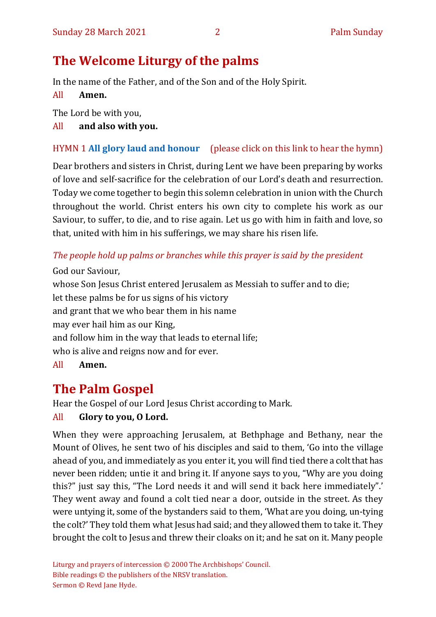### **The Welcome Liturgy of the palms**

In the name of the Father, and of the Son and of the Holy Spirit.

All **Amen.**

The Lord be with you,

#### All **and also with you.**

#### HYMN 1 **[All glory laud and honour](https://www.youtube.com/watch?v=eBfJyjDolwA)** (please click on this link to hear the hymn)

Dear brothers and sisters in Christ, during Lent we have been preparing by works of love and self-sacrifice for the celebration of our Lord's death and resurrection. Today we come together to begin this solemn celebration in union with the Church throughout the world. Christ enters his own city to complete his work as our Saviour, to suffer, to die, and to rise again. Let us go with him in faith and love, so that, united with him in his sufferings, we may share his risen life.

#### *The people hold up palms or branches while this prayer is said by the president*

God our Saviour, whose Son Jesus Christ entered Jerusalem as Messiah to suffer and to die; let these palms be for us signs of his victory and grant that we who bear them in his name may ever hail him as our King, and follow him in the way that leads to eternal life; who is alive and reigns now and for ever. All **Amen.**

### **The Palm Gospel**

Hear the Gospel of our Lord Jesus Christ according to Mark.

#### All **Glory to you, O Lord.**

When they were approaching Jerusalem, at Bethphage and Bethany, near the Mount of Olives, he sent two of his disciples and said to them, 'Go into the village ahead of you, and immediately as you enter it, you will find tied there a colt that has never been ridden; untie it and bring it. If anyone says to you, "Why are you doing this?" just say this, "The Lord needs it and will send it back here immediately".' They went away and found a colt tied near a door, outside in the street. As they were untying it, some of the bystanders said to them, 'What are you doing, un-tying the colt?' They told them what Jesus had said; and they allowed them to take it. They brought the colt to Jesus and threw their cloaks on it; and he sat on it. Many people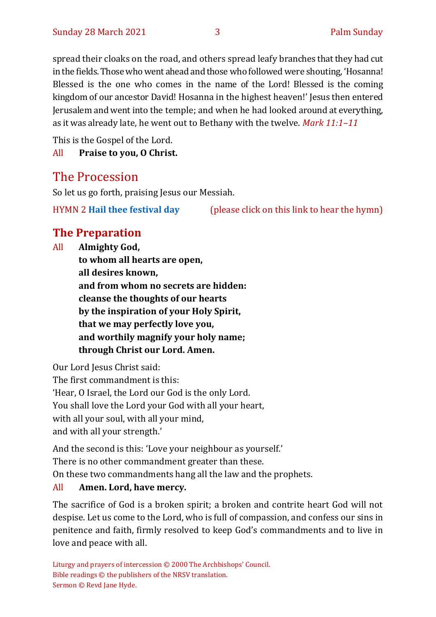spread their cloaks on the road, and others spread leafy branches that they had cut in the fields. Those who went ahead and those who followed were shouting, 'Hosanna! Blessed is the one who comes in the name of the Lord! Blessed is the coming kingdom of our ancestor David! Hosanna in the highest heaven!' Jesus then entered Jerusalem and went into the temple; and when he had looked around at everything, as it was already late, he went out to Bethany with the twelve. *Mark 11:1–11*

This is the Gospel of the Lord.

All **Praise to you, O Christ.**

### The Procession

So let us go forth, praising Jesus our Messiah.

HYMN 2 **[Hail thee festival day](https://www.youtube.com/watch?v=WmxXwAgkhWQ)** (please click on this link to hear the hymn)

### **The Preparation**

All **Almighty God, to whom all hearts are open, all desires known, and from whom no secrets are hidden: cleanse the thoughts of our hearts by the inspiration of your Holy Spirit, that we may perfectly love you, and worthily magnify your holy name; through Christ our Lord. Amen.**

Our Lord Jesus Christ said: The first commandment is this: 'Hear, O Israel, the Lord our God is the only Lord. You shall love the Lord your God with all your heart, with all your soul, with all your mind, and with all your strength.'

And the second is this: 'Love your neighbour as yourself.' There is no other commandment greater than these. On these two commandments hang all the law and the prophets.

#### All **Amen. Lord, have mercy.**

The sacrifice of God is a broken spirit; a broken and contrite heart God will not despise. Let us come to the Lord, who is full of compassion, and confess our sins in penitence and faith, firmly resolved to keep God's commandments and to live in love and peace with all.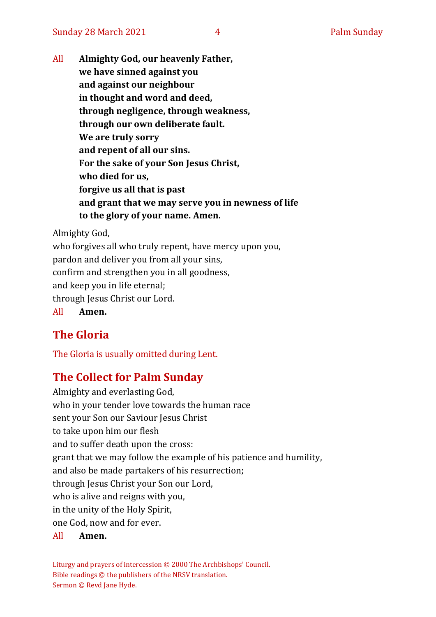All **Almighty God, our heavenly Father, we have sinned against you and against our neighbour in thought and word and deed, through negligence, through weakness, through our own deliberate fault. We are truly sorry and repent of all our sins. For the sake of your Son Jesus Christ, who died for us, forgive us all that is past and grant that we may serve you in newness of life to the glory of your name. Amen.**

Almighty God,

who forgives all who truly repent, have mercy upon you, pardon and deliver you from all your sins, confirm and strengthen you in all goodness, and keep you in life eternal; through Jesus Christ our Lord. All **Amen.**

### **The Gloria**

The Gloria is usually omitted during Lent.

### **The Collect for Palm Sunday**

Almighty and everlasting God, who in your tender love towards the human race sent your Son our Saviour Jesus Christ to take upon him our flesh and to suffer death upon the cross: grant that we may follow the example of his patience and humility, and also be made partakers of his resurrection; through Jesus Christ your Son our Lord, who is alive and reigns with you, in the unity of the Holy Spirit, one God, now and for ever. All **Amen.**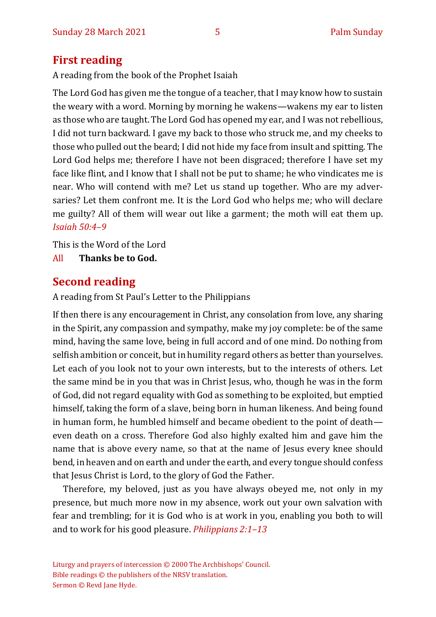### **First reading**

A reading from the book of the Prophet Isaiah

The Lord God has given me the tongue of a teacher, that I may know how to sustain the weary with a word. Morning by morning he wakens—wakens my ear to listen as those who are taught. The Lord God has opened my ear, and I was not rebellious, I did not turn backward. I gave my back to those who struck me, and my cheeks to those who pulled out the beard; I did not hide my face from insult and spitting. The Lord God helps me; therefore I have not been disgraced; therefore I have set my face like flint, and I know that I shall not be put to shame; he who vindicates me is near. Who will contend with me? Let us stand up together. Who are my adversaries? Let them confront me. It is the Lord God who helps me; who will declare me guilty? All of them will wear out like a garment; the moth will eat them up. *Isaiah 50:4–9*

This is the Word of the Lord

All **Thanks be to God.**

### **Second reading**

A reading from St Paul's Letter to the Philippians

If then there is any encouragement in Christ, any consolation from love, any sharing in the Spirit, any compassion and sympathy, make my joy complete: be of the same mind, having the same love, being in full accord and of one mind. Do nothing from selfish ambition or conceit, but in humility regard others as better than yourselves. Let each of you look not to your own interests, but to the interests of others. Let the same mind be in you that was in Christ Jesus, who, though he was in the form of God, did not regard equality with God as something to be exploited, but emptied himself, taking the form of a slave, being born in human likeness. And being found in human form, he humbled himself and became obedient to the point of death even death on a cross. Therefore God also highly exalted him and gave him the name that is above every name, so that at the name of Jesus every knee should bend, in heaven and on earth and under the earth, and every tongue should confess that Jesus Christ is Lord, to the glory of God the Father.

Therefore, my beloved, just as you have always obeyed me, not only in my presence, but much more now in my absence, work out your own salvation with fear and trembling; for it is God who is at work in you, enabling you both to will and to work for his good pleasure. *Philippians 2:1–13*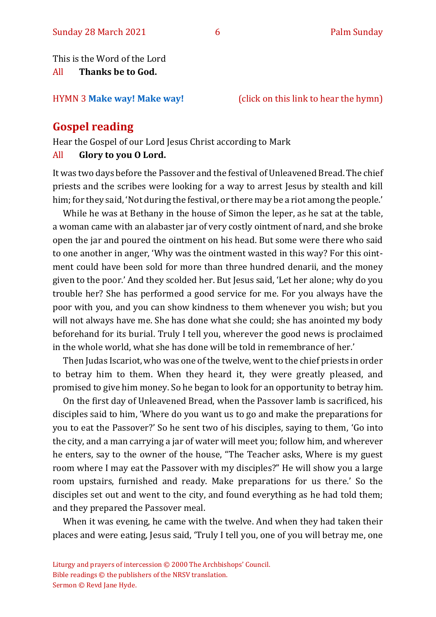This is the Word of the Lord

All **Thanks be to God.**

HYMN 3 **[Make way! Make way!](https://www.youtube.com/watch?v=78iCdVc5LVM)** (click on this link to hear the hymn)

### **Gospel reading**

Hear the Gospel of our Lord Jesus Christ according to Mark All **Glory to you O Lord.**

It was two days before the Passover and the festival of Unleavened Bread. The chief priests and the scribes were looking for a way to arrest Jesus by stealth and kill him; for they said, 'Not during the festival, or there may be a riot among the people.'

While he was at Bethany in the house of Simon the leper, as he sat at the table, a woman came with an alabaster jar of very costly ointment of nard, and she broke open the jar and poured the ointment on his head. But some were there who said to one another in anger, 'Why was the ointment wasted in this way? For this ointment could have been sold for more than three hundred denarii, and the money given to the poor.' And they scolded her. But Jesus said, 'Let her alone; why do you trouble her? She has performed a good service for me. For you always have the poor with you, and you can show kindness to them whenever you wish; but you will not always have me. She has done what she could; she has anointed my body beforehand for its burial. Truly I tell you, wherever the good news is proclaimed in the whole world, what she has done will be told in remembrance of her.'

Then Judas Iscariot, who was one of the twelve, went to the chief priests in order to betray him to them. When they heard it, they were greatly pleased, and promised to give him money. So he began to look for an opportunity to betray him.

On the first day of Unleavened Bread, when the Passover lamb is sacrificed, his disciples said to him, 'Where do you want us to go and make the preparations for you to eat the Passover?' So he sent two of his disciples, saying to them, 'Go into the city, and a man carrying a jar of water will meet you; follow him, and wherever he enters, say to the owner of the house, "The Teacher asks, Where is my guest room where I may eat the Passover with my disciples?" He will show you a large room upstairs, furnished and ready. Make preparations for us there.' So the disciples set out and went to the city, and found everything as he had told them; and they prepared the Passover meal.

When it was evening, he came with the twelve. And when they had taken their places and were eating, Jesus said, 'Truly I tell you, one of you will betray me, one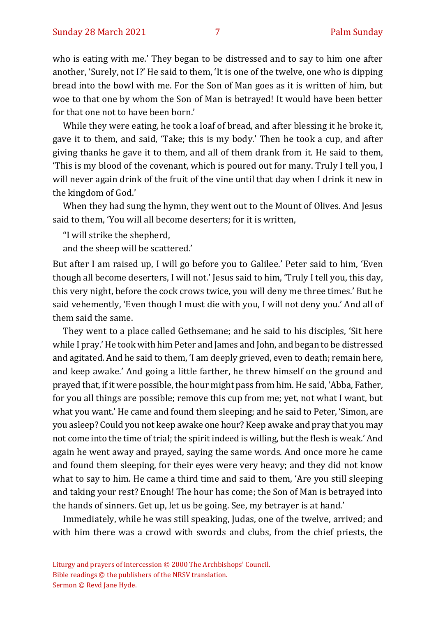who is eating with me.' They began to be distressed and to say to him one after another, 'Surely, not I?' He said to them, 'It is one of the twelve, one who is dipping bread into the bowl with me. For the Son of Man goes as it is written of him, but woe to that one by whom the Son of Man is betrayed! It would have been better for that one not to have been born.'

While they were eating, he took a loaf of bread, and after blessing it he broke it, gave it to them, and said, 'Take; this is my body.' Then he took a cup, and after giving thanks he gave it to them, and all of them drank from it. He said to them, 'This is my blood of the covenant, which is poured out for many. Truly I tell you, I will never again drink of the fruit of the vine until that day when I drink it new in the kingdom of God.'

When they had sung the hymn, they went out to the Mount of Olives. And Jesus said to them, 'You will all become deserters; for it is written,

"I will strike the shepherd,

and the sheep will be scattered.'

But after I am raised up, I will go before you to Galilee.' Peter said to him, 'Even though all become deserters, I will not.' Jesus said to him, 'Truly I tell you, this day, this very night, before the cock crows twice, you will deny me three times.' But he said vehemently, 'Even though I must die with you, I will not deny you.' And all of them said the same.

They went to a place called Gethsemane; and he said to his disciples, 'Sit here while I pray.' He took with him Peter and James and John, and began to be distressed and agitated. And he said to them, 'I am deeply grieved, even to death; remain here, and keep awake.' And going a little farther, he threw himself on the ground and prayed that, if it were possible, the hour might pass from him. He said, 'Abba, Father, for you all things are possible; remove this cup from me; yet, not what I want, but what you want.' He came and found them sleeping; and he said to Peter, 'Simon, are you asleep? Could you not keep awake one hour? Keep awake and pray that you may not come into the time of trial; the spirit indeed is willing, but the flesh is weak.' And again he went away and prayed, saying the same words. And once more he came and found them sleeping, for their eyes were very heavy; and they did not know what to say to him. He came a third time and said to them, 'Are you still sleeping and taking your rest? Enough! The hour has come; the Son of Man is betrayed into the hands of sinners. Get up, let us be going. See, my betrayer is at hand.'

Immediately, while he was still speaking, Judas, one of the twelve, arrived; and with him there was a crowd with swords and clubs, from the chief priests, the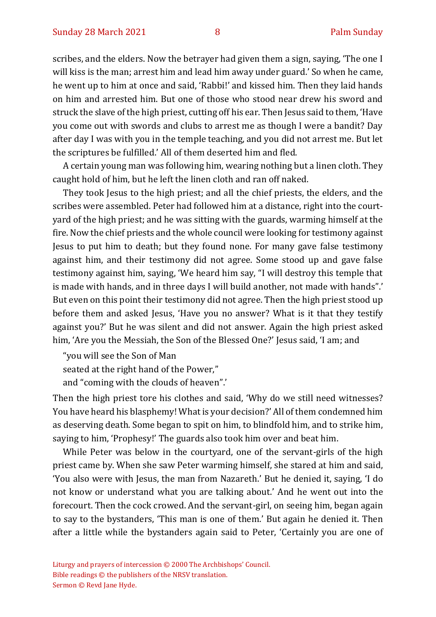scribes, and the elders. Now the betrayer had given them a sign, saying, 'The one I will kiss is the man; arrest him and lead him away under guard.' So when he came, he went up to him at once and said, 'Rabbi!' and kissed him. Then they laid hands on him and arrested him. But one of those who stood near drew his sword and struck the slave of the high priest, cutting off his ear. Then Jesus said to them, 'Have you come out with swords and clubs to arrest me as though I were a bandit? Day after day I was with you in the temple teaching, and you did not arrest me. But let the scriptures be fulfilled.' All of them deserted him and fled.

A certain young man was following him, wearing nothing but a linen cloth. They caught hold of him, but he left the linen cloth and ran off naked.

They took Jesus to the high priest; and all the chief priests, the elders, and the scribes were assembled. Peter had followed him at a distance, right into the courtyard of the high priest; and he was sitting with the guards, warming himself at the fire. Now the chief priests and the whole council were looking for testimony against Jesus to put him to death; but they found none. For many gave false testimony against him, and their testimony did not agree. Some stood up and gave false testimony against him, saying, 'We heard him say, "I will destroy this temple that is made with hands, and in three days I will build another, not made with hands".' But even on this point their testimony did not agree. Then the high priest stood up before them and asked Jesus, 'Have you no answer? What is it that they testify against you?' But he was silent and did not answer. Again the high priest asked him, 'Are you the Messiah, the Son of the Blessed One?' Jesus said, 'I am; and

"you will see the Son of Man

seated at the right hand of the Power,"

and "coming with the clouds of heaven".'

Then the high priest tore his clothes and said, 'Why do we still need witnesses? You have heard his blasphemy! What is your decision?' All of them condemned him as deserving death. Some began to spit on him, to blindfold him, and to strike him, saying to him, 'Prophesy!' The guards also took him over and beat him.

While Peter was below in the courtyard, one of the servant-girls of the high priest came by. When she saw Peter warming himself, she stared at him and said, 'You also were with Jesus, the man from Nazareth.' But he denied it, saying, 'I do not know or understand what you are talking about.' And he went out into the forecourt. Then the cock crowed. And the servant-girl, on seeing him, began again to say to the bystanders, 'This man is one of them.' But again he denied it. Then after a little while the bystanders again said to Peter, 'Certainly you are one of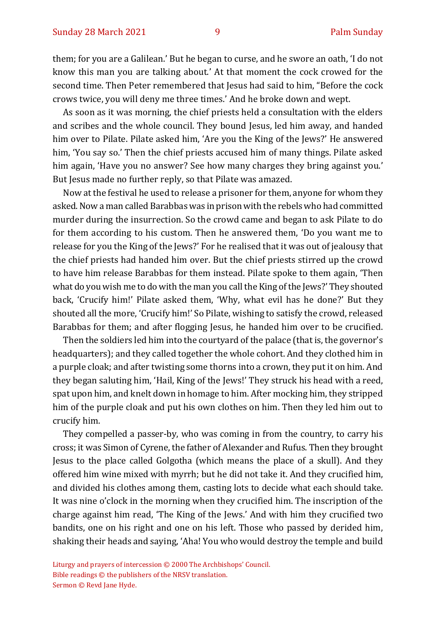them; for you are a Galilean.' But he began to curse, and he swore an oath, 'I do not know this man you are talking about.' At that moment the cock crowed for the second time. Then Peter remembered that Jesus had said to him, "Before the cock crows twice, you will deny me three times.' And he broke down and wept.

As soon as it was morning, the chief priests held a consultation with the elders and scribes and the whole council. They bound Jesus, led him away, and handed him over to Pilate. Pilate asked him, 'Are you the King of the Jews?' He answered him, 'You say so.' Then the chief priests accused him of many things. Pilate asked him again, 'Have you no answer? See how many charges they bring against you.' But Jesus made no further reply, so that Pilate was amazed.

Now at the festival he used to release a prisoner for them, anyone for whom they asked. Now a man called Barabbas was in prison with the rebels who had committed murder during the insurrection. So the crowd came and began to ask Pilate to do for them according to his custom. Then he answered them, 'Do you want me to release for you the King of the Jews?' For he realised that it was out of jealousy that the chief priests had handed him over. But the chief priests stirred up the crowd to have him release Barabbas for them instead. Pilate spoke to them again, 'Then what do you wish me to do with the man you call the King of the Jews?' They shouted back, 'Crucify him!' Pilate asked them, 'Why, what evil has he done?' But they shouted all the more, 'Crucify him!' So Pilate, wishing to satisfy the crowd, released Barabbas for them; and after flogging Jesus, he handed him over to be crucified.

Then the soldiers led him into the courtyard of the palace (that is, the governor's headquarters); and they called together the whole cohort. And they clothed him in a purple cloak; and after twisting some thorns into a crown, they put it on him. And they began saluting him, 'Hail, King of the Jews!' They struck his head with a reed, spat upon him, and knelt down in homage to him. After mocking him, they stripped him of the purple cloak and put his own clothes on him. Then they led him out to crucify him.

They compelled a passer-by, who was coming in from the country, to carry his cross; it was Simon of Cyrene, the father of Alexander and Rufus. Then they brought Jesus to the place called Golgotha (which means the place of a skull). And they offered him wine mixed with myrrh; but he did not take it. And they crucified him, and divided his clothes among them, casting lots to decide what each should take. It was nine o'clock in the morning when they crucified him. The inscription of the charge against him read, 'The King of the Jews.' And with him they crucified two bandits, one on his right and one on his left. Those who passed by derided him, shaking their heads and saying, 'Aha! You who would destroy the temple and build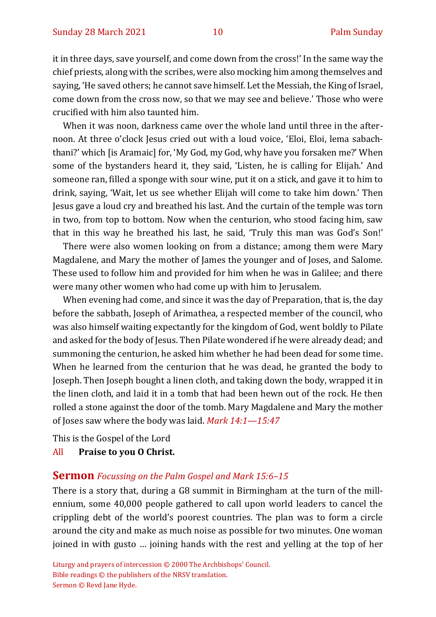it in three days, save yourself, and come down from the cross!' In the same way the chief priests, along with the scribes, were also mocking him among themselves and saying, 'He saved others; he cannot save himself. Let the Messiah, the King of Israel, come down from the cross now, so that we may see and believe.' Those who were crucified with him also taunted him.

When it was noon, darkness came over the whole land until three in the afternoon. At three o'clock Jesus cried out with a loud voice, 'Eloi, Eloi, lema sabachthani?' which [is Aramaic] for, 'My God, my God, why have you forsaken me?' When some of the bystanders heard it, they said, 'Listen, he is calling for Elijah.' And someone ran, filled a sponge with sour wine, put it on a stick, and gave it to him to drink, saying, 'Wait, let us see whether Elijah will come to take him down.' Then Jesus gave a loud cry and breathed his last. And the curtain of the temple was torn in two, from top to bottom. Now when the centurion, who stood facing him, saw that in this way he breathed his last, he said, 'Truly this man was God's Son!'

There were also women looking on from a distance; among them were Mary Magdalene, and Mary the mother of James the younger and of Joses, and Salome. These used to follow him and provided for him when he was in Galilee; and there were many other women who had come up with him to Jerusalem.

When evening had come, and since it was the day of Preparation, that is, the day before the sabbath, Joseph of Arimathea, a respected member of the council, who was also himself waiting expectantly for the kingdom of God, went boldly to Pilate and asked for the body of Jesus. Then Pilate wondered if he were already dead; and summoning the centurion, he asked him whether he had been dead for some time. When he learned from the centurion that he was dead, he granted the body to Joseph. Then Joseph bought a linen cloth, and taking down the body, wrapped it in the linen cloth, and laid it in a tomb that had been hewn out of the rock. He then rolled a stone against the door of the tomb. Mary Magdalene and Mary the mother of Joses saw where the body was laid. *Mark 14:1—15:47*

This is the Gospel of the Lord All **Praise to you O Christ.** 

#### **Sermon** *Focussing on the Palm Gospel and Mark 15:6–15*

There is a story that, during a G8 summit in Birmingham at the turn of the millennium, some 40,000 people gathered to call upon world leaders to cancel the crippling debt of the world's poorest countries. The plan was to form a circle around the city and make as much noise as possible for two minutes. One woman joined in with gusto … joining hands with the rest and yelling at the top of her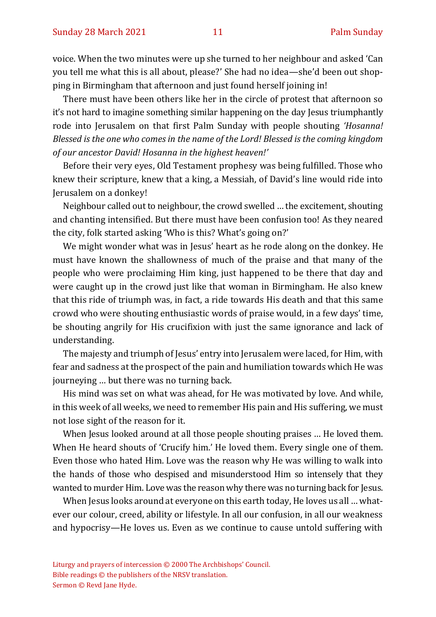voice. When the two minutes were up she turned to her neighbour and asked 'Can you tell me what this is all about, please?' She had no idea—she'd been out shopping in Birmingham that afternoon and just found herself joining in!

There must have been others like her in the circle of protest that afternoon so it's not hard to imagine something similar happening on the day Jesus triumphantly rode into Jerusalem on that first Palm Sunday with people shouting *'Hosanna! Blessed is the one who comes in the name of the Lord! Blessed is the coming kingdom of our ancestor David! Hosanna in the highest heaven!'*

Before their very eyes, Old Testament prophesy was being fulfilled. Those who knew their scripture, knew that a king, a Messiah, of David's line would ride into Jerusalem on a donkey!

Neighbour called out to neighbour, the crowd swelled … the excitement, shouting and chanting intensified. But there must have been confusion too! As they neared the city, folk started asking 'Who is this? What's going on?'

We might wonder what was in Jesus' heart as he rode along on the donkey. He must have known the shallowness of much of the praise and that many of the people who were proclaiming Him king, just happened to be there that day and were caught up in the crowd just like that woman in Birmingham. He also knew that this ride of triumph was, in fact, a ride towards His death and that this same crowd who were shouting enthusiastic words of praise would, in a few days' time, be shouting angrily for His crucifixion with just the same ignorance and lack of understanding.

The majesty and triumph of Jesus' entry into Jerusalem were laced, for Him, with fear and sadness at the prospect of the pain and humiliation towards which He was journeying … but there was no turning back.

His mind was set on what was ahead, for He was motivated by love. And while, in this week of all weeks, we need to remember His pain and His suffering, we must not lose sight of the reason for it.

When Jesus looked around at all those people shouting praises … He loved them. When He heard shouts of 'Crucify him.' He loved them. Every single one of them. Even those who hated Him. Love was the reason why He was willing to walk into the hands of those who despised and misunderstood Him so intensely that they wanted to murder Him. Love was the reason why there was no turning back for Jesus.

When Jesus looks around at everyone on this earth today, He loves us all ... whatever our colour, creed, ability or lifestyle. In all our confusion, in all our weakness and hypocrisy—He loves us. Even as we continue to cause untold suffering with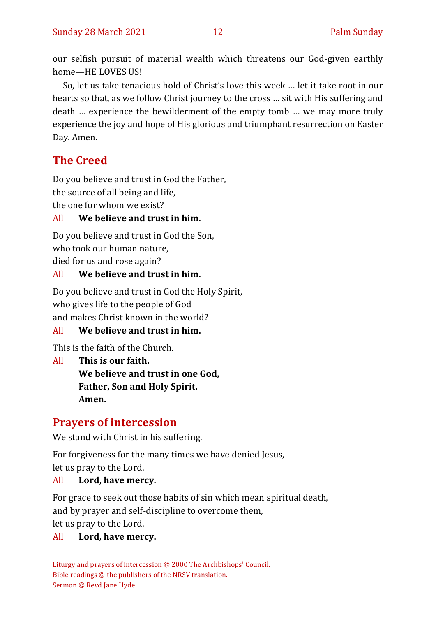our selfish pursuit of material wealth which threatens our God-given earthly home—HE LOVES US!

So, let us take tenacious hold of Christ's love this week … let it take root in our hearts so that, as we follow Christ journey to the cross … sit with His suffering and death … experience the bewilderment of the empty tomb … we may more truly experience the joy and hope of His glorious and triumphant resurrection on Easter Day. Amen.

### **The Creed**

Do you believe and trust in God the Father,

the source of all being and life,

the one for whom we exist?

#### All **We believe and trust in him.**

Do you believe and trust in God the Son,

who took our human nature,

died for us and rose again?

#### All **We believe and trust in him.**

Do you believe and trust in God the Holy Spirit, who gives life to the people of God and makes Christ known in the world?

#### All **We believe and trust in him.**

This is the faith of the Church.

All **This is our faith. We believe and trust in one God, Father, Son and Holy Spirit. Amen.**

### **Prayers of intercession**

We stand with Christ in his suffering.

For forgiveness for the many times we have denied Jesus, let us pray to the Lord.

All **Lord, have mercy.**

For grace to seek out those habits of sin which mean spiritual death, and by prayer and self-discipline to overcome them, let us pray to the Lord.

#### All **Lord, have mercy.**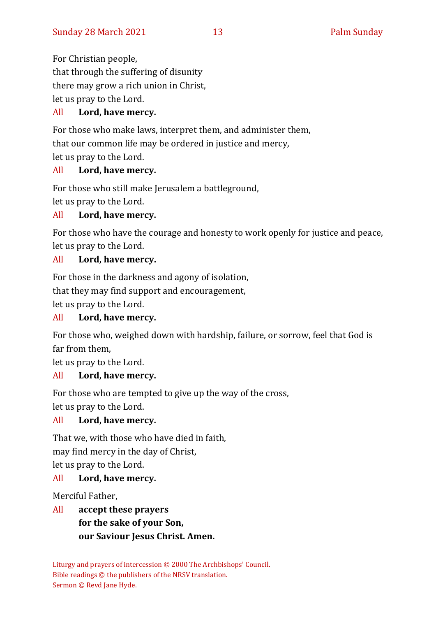For Christian people, that through the suffering of disunity there may grow a rich union in Christ, let us pray to the Lord.

#### All **Lord, have mercy.**

For those who make laws, interpret them, and administer them, that our common life may be ordered in justice and mercy, let us pray to the Lord.

#### All **Lord, have mercy.**

For those who still make Jerusalem a battleground, let us pray to the Lord.

#### All **Lord, have mercy.**

For those who have the courage and honesty to work openly for justice and peace, let us pray to the Lord.

#### All **Lord, have mercy.**

For those in the darkness and agony of isolation, that they may find support and encouragement, let us pray to the Lord.

#### All **Lord, have mercy.**

For those who, weighed down with hardship, failure, or sorrow, feel that God is far from them,

let us pray to the Lord.

#### All **Lord, have mercy.**

For those who are tempted to give up the way of the cross, let us pray to the Lord.

#### All **Lord, have mercy.**

That we, with those who have died in faith,

may find mercy in the day of Christ,

let us pray to the Lord.

#### All **Lord, have mercy.**

Merciful Father,

All **accept these prayers for the sake of your Son, our Saviour Jesus Christ. Amen.**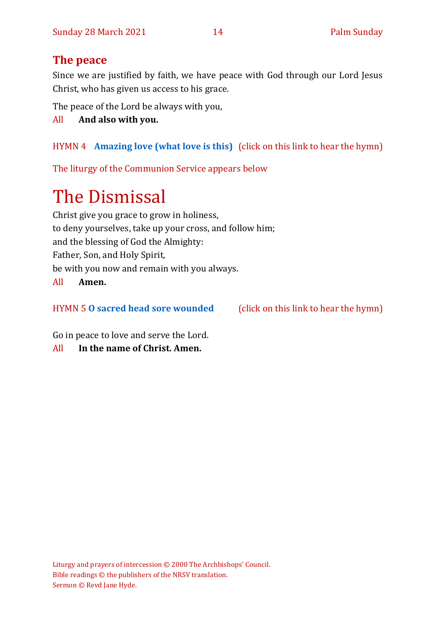### **The peace**

Since we are justified by faith, we have peace with God through our Lord Jesus Christ, who has given us access to his grace.

The peace of the Lord be always with you,

All **And also with you.**

### HYMN 4 **[Amazing love \(what love is this\)](https://www.youtube.com/watch?v=ItR0E1lg7lY)** (click on this link to hear the hymn)

The liturgy of the Communion Service appears below

# The Dismissal

Christ give you grace to grow in holiness, to deny yourselves, take up your cross, and follow him; and the blessing of God the Almighty: Father, Son, and Holy Spirit, be with you now and remain with you always.

All **Amen.**

### HYMN 5 **[O sacred head sore wounded](https://www.youtube.com/watch?v=0gHS7a4Okq8)** (click on this link to hear the hymn)

Go in peace to love and serve the Lord.

All **In the name of Christ. Amen.**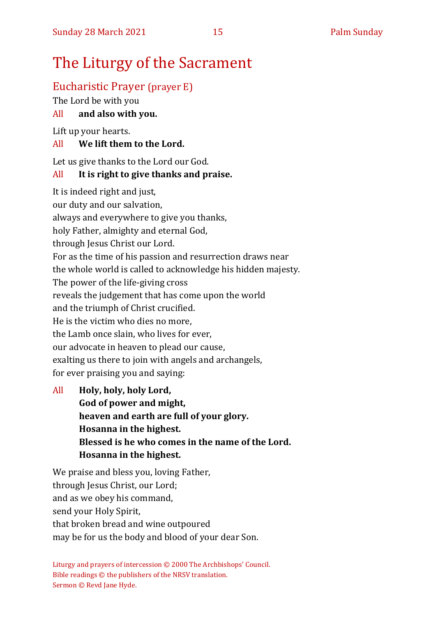# The Liturgy of the Sacrament

### Eucharistic Prayer (prayer E)

The Lord be with you

#### All **and also with you.**

Lift up your hearts.

#### All **We lift them to the Lord.**

Let us give thanks to the Lord our God.

#### All **It is right to give thanks and praise.**

It is indeed right and just, our duty and our salvation, always and everywhere to give you thanks, holy Father, almighty and eternal God, through Jesus Christ our Lord. For as the time of his passion and resurrection draws near the whole world is called to acknowledge his hidden majesty. The power of the life-giving cross reveals the judgement that has come upon the world and the triumph of Christ crucified. He is the victim who dies no more, the Lamb once slain, who lives for ever, our advocate in heaven to plead our cause, exalting us there to join with angels and archangels, for ever praising you and saying:

All **Holy, holy, holy Lord, God of power and might, heaven and earth are full of your glory. Hosanna in the highest. Blessed is he who comes in the name of the Lord. Hosanna in the highest.**

We praise and bless you, loving Father, through Jesus Christ, our Lord; and as we obey his command, send your Holy Spirit, that broken bread and wine outpoured may be for us the body and blood of your dear Son.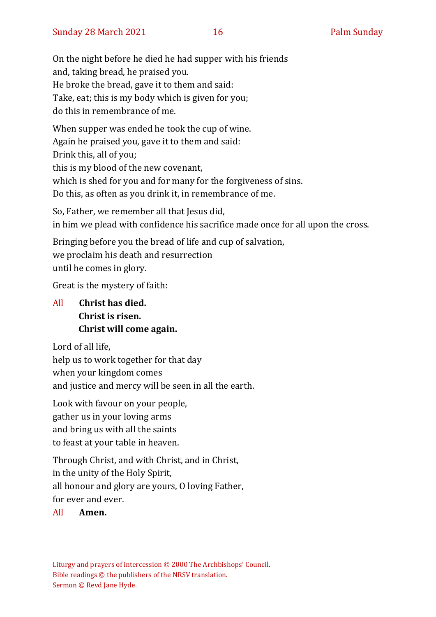On the night before he died he had supper with his friends and, taking bread, he praised you. He broke the bread, gave it to them and said: Take, eat; this is my body which is given for you; do this in remembrance of me.

When supper was ended he took the cup of wine. Again he praised you, gave it to them and said: Drink this, all of you; this is my blood of the new covenant, which is shed for you and for many for the forgiveness of sins. Do this, as often as you drink it, in remembrance of me.

So, Father, we remember all that Jesus did, in him we plead with confidence his sacrifice made once for all upon the cross.

Bringing before you the bread of life and cup of salvation, we proclaim his death and resurrection until he comes in glory.

Great is the mystery of faith:

All **Christ has died. Christ is risen. Christ will come again.**

Lord of all life, help us to work together for that day when your kingdom comes and justice and mercy will be seen in all the earth.

Look with favour on your people, gather us in your loving arms and bring us with all the saints to feast at your table in heaven.

Through Christ, and with Christ, and in Christ, in the unity of the Holy Spirit, all honour and glory are yours, O loving Father, for ever and ever.

All **Amen.**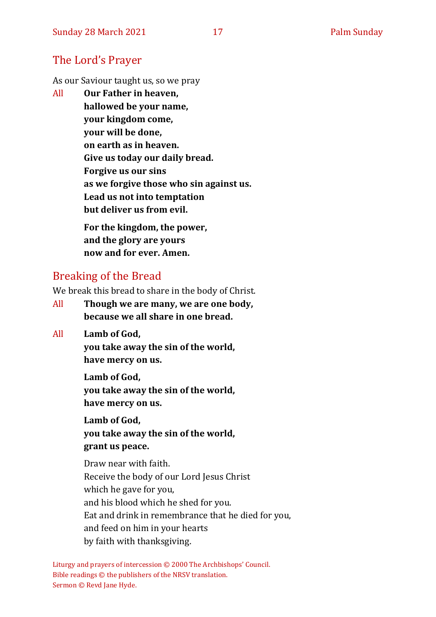### The Lord's Prayer

As our Saviour taught us, so we pray

All **Our Father in heaven, hallowed be your name, your kingdom come, your will be done, on earth as in heaven. Give us today our daily bread. Forgive us our sins as we forgive those who sin against us. Lead us not into temptation but deliver us from evil. For the kingdom, the power,** 

**and the glory are yours now and for ever. Amen.**

### Breaking of the Bread

We break this bread to share in the body of Christ.

- All **Though we are many, we are one body, because we all share in one bread.**
- All **Lamb of God,**

**you take away the sin of the world, have mercy on us.**

**Lamb of God, you take away the sin of the world, have mercy on us.**

**Lamb of God, you take away the sin of the world, grant us peace.**

Draw near with faith. Receive the body of our Lord Jesus Christ which he gave for you, and his blood which he shed for you. Eat and drink in remembrance that he died for you, and feed on him in your hearts by faith with thanksgiving.